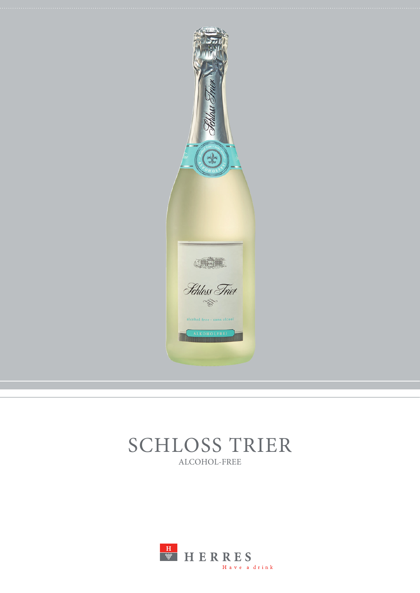

# SCHLOSS TRIER ALCOHOL-FREE